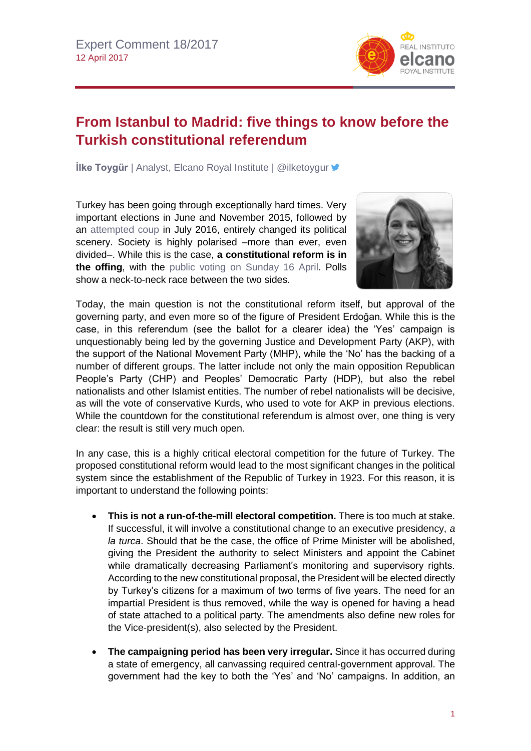

## **From Istanbul to Madrid: five things to know before the Turkish constitutional referendum**

**İlke Toygür** | Analyst, Elcano Royal Institute | @ilketoygur

Turkey has been going through exceptionally hard times. Very important elections in June and November 2015, followed by an [attempted coup](http://www.realinstitutoelcano.org/wps/portal/rielcano_en/contenido?WCM_GLOBAL_CONTEXT=/elcano/elcano_in/zonas_in/Commentary-Toygur-From-failed-coup-to-state-emergency-democracy-Turkey-today) in July 2016, entirely changed its political scenery. Society is highly polarised –more than ever, even divided–. While this is the case, **a constitutional reform is in the offing**, with the [public voting on Sunday 16 April.](http://www.realinstitutoelcano.org/wps/portal/rielcano_en/contenido?WCM_GLOBAL_CONTEXT=/elcano/elcano_in/zonas_in/europe/commentary-toygur-turkey-critical-constitutional-referendum-introduction) Polls show a neck-to-neck race between the two sides.



Today, the main question is not the constitutional reform itself, but approval of the governing party, and even more so of the figure of President Erdoğan*.* While this is the case, in this referendum (see the ballot for a clearer idea) the 'Yes' campaign is unquestionably being led by the governing Justice and Development Party (AKP), with the support of the National Movement Party (MHP), while the 'No' has the backing of a number of different groups. The latter include not only the main opposition Republican People's Party (CHP) and Peoples' Democratic Party (HDP), but also the rebel nationalists and other Islamist entities. The number of rebel nationalists will be decisive, as will the vote of conservative Kurds, who used to vote for AKP in previous elections. While the countdown for the constitutional referendum is almost over, one thing is very clear: the result is still very much open.

In any case, this is a highly critical electoral competition for the future of Turkey. The proposed constitutional reform would lead to the most significant changes in the political system since the establishment of the Republic of Turkey in 1923. For this reason, it is important to understand the following points:

- **This is not a run-of-the-mill electoral competition.** There is too much at stake. If successful, it will involve a constitutional change to an executive presidency, *a la turca*. Should that be the case, the office of Prime Minister will be abolished, giving the President the authority to select Ministers and appoint the Cabinet while dramatically decreasing Parliament's monitoring and supervisory rights. According to the new constitutional proposal, the President will be elected directly by Turkey's citizens for a maximum of two terms of five years. The need for an impartial President is thus removed, while the way is opened for having a head of state attached to a political party. The amendments also define new roles for the Vice-president(s), also selected by the President.
- **The campaigning period has been very irregular.** Since it has occurred during a state of emergency, all canvassing required central-government approval. The government had the key to both the 'Yes' and 'No' campaigns. In addition, an